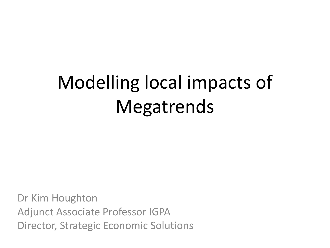# Modelling local impacts of Megatrends

Dr Kim Houghton Adjunct Associate Professor IGPA Director, Strategic Economic Solutions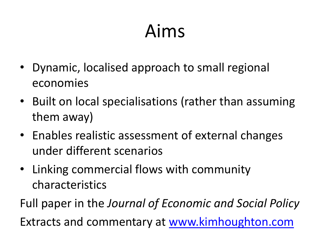# Aims

- Dynamic, localised approach to small regional economies
- Built on local specialisations (rather than assuming them away)
- Enables realistic assessment of external changes under different scenarios
- Linking commercial flows with community characteristics
- Full paper in the *Journal of Economic and Social Policy* Extracts and commentary at [www.kimhoughton.com](http://www.kimhoughton.com/)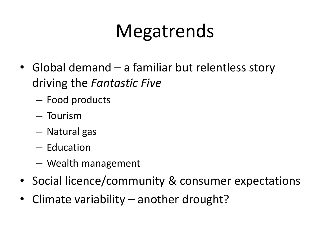# Megatrends

- Global demand a familiar but relentless story driving the *Fantastic Five*
	- Food products
	- Tourism
	- Natural gas
	- Education
	- Wealth management
- Social licence/community & consumer expectations
- Climate variability another drought?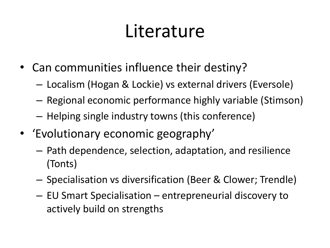### Literature

- Can communities influence their destiny?
	- Localism (Hogan & Lockie) vs external drivers (Eversole)
	- Regional economic performance highly variable (Stimson)
	- Helping single industry towns (this conference)
- 'Evolutionary economic geography'
	- Path dependence, selection, adaptation, and resilience (Tonts)
	- Specialisation vs diversification (Beer & Clower; Trendle)
	- EU Smart Specialisation entrepreneurial discovery to actively build on strengths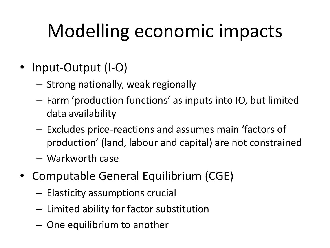# Modelling economic impacts

- Input-Output (I-O)
	- Strong nationally, weak regionally
	- Farm 'production functions' as inputs into IO, but limited data availability
	- Excludes price-reactions and assumes main 'factors of production' (land, labour and capital) are not constrained
	- Warkworth case
- Computable General Equilibrium (CGE)
	- Elasticity assumptions crucial
	- Limited ability for factor substitution
	- One equilibrium to another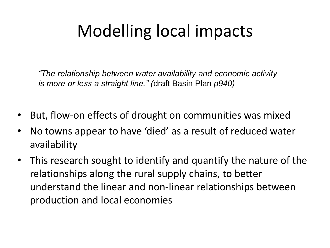#### Modelling local impacts

*"The relationship between water availability and economic activity is more or less a straight line." (*draft Basin Plan *p940)*

- But, flow-on effects of drought on communities was mixed
- No towns appear to have 'died' as a result of reduced water availability
- This research sought to identify and quantify the nature of the relationships along the rural supply chains, to better understand the linear and non-linear relationships between production and local economies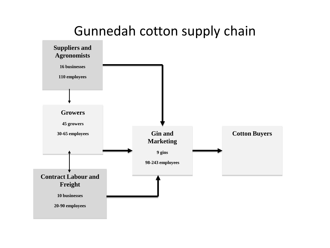#### Gunnedah cotton supply chain

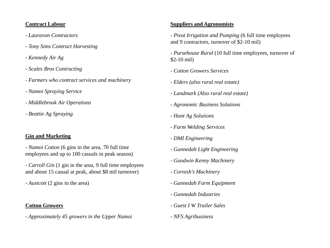#### **Contract Labour**

- *- Lauravon Contractors*
- *- Tony Sims Contract Harvesting*
- *- Kennedy Air Ag*
- *- Scales Bros Contracting*
- *- Farmers who contract services and machinery*
- *- Namoi Spraying Service*
- *- Middlebrook Air Operations*
- *- Beattie Ag Spraying*

#### **Gin and Marketing**

*- Namoi Cotton* (6 gins in the area, 70 full time employees and up to 100 casuals in peak season)

*- Carroll Gin* (1 gin in the area, 9 full time employees and about 15 casual at peak, about \$8 mil turnover)

*- Austcott* (2 gins in the area)

#### **Cotton Growers**

*- Approximately 45 growers in the Upper Namoi*

#### **Suppliers and Agronomists**

*- Pivot Irrigation and Pumping* (6 full time employees and 9 contractors, turnover of \$2-10 mil)

*- Pursehouse Rural* (10 full time employees, turnover of \$2-10 mil)

- *- Cotton Growers Services*
- *- Elders (also rural real estate)*
- *- Landmark (Also rural real estate)*
- *- Agronomic Business Solutions*
- *- Hunt Ag Solutions*
- *- Farm Welding Services*
- *- DMI Engineering*
- *- Gunnedah Light Engineering*
- *- Goodwin Kenny Machinery*
- *- Cornish's Machinery*
- *- Gunnedah Farm Equipment*
- *- Gunnedah Industries*
- *- Guest I W Trailer Sales*
- *- NFS Agribusiness*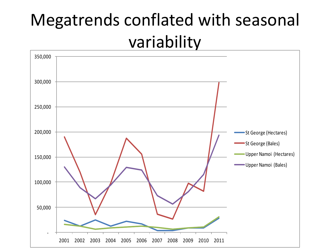#### Megatrends conflated with seasonal variability

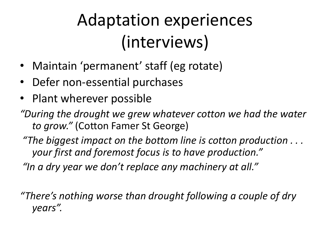### Adaptation experiences (interviews)

- Maintain 'permanent' staff (eg rotate)
- Defer non-essential purchases
- Plant wherever possible
- *"During the drought we grew whatever cotton we had the water to grow."* (Cotton Famer St George)
- *"The biggest impact on the bottom line is cotton production . . . your first and foremost focus is to have production."*
- *"In a dry year we don't replace any machinery at all."*

*"There's nothing worse than drought following a couple of dry years".*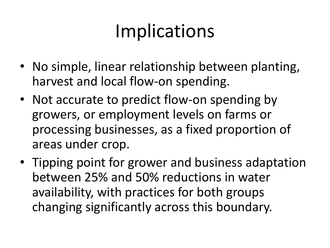# Implications

- No simple, linear relationship between planting, harvest and local flow-on spending.
- Not accurate to predict flow-on spending by growers, or employment levels on farms or processing businesses, as a fixed proportion of areas under crop.
- Tipping point for grower and business adaptation between 25% and 50% reductions in water availability, with practices for both groups changing significantly across this boundary.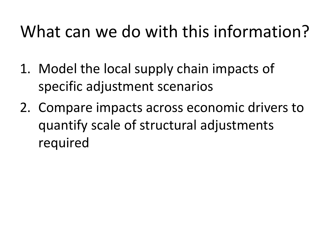#### What can we do with this information?

- 1. Model the local supply chain impacts of specific adjustment scenarios
- 2. Compare impacts across economic drivers to quantify scale of structural adjustments required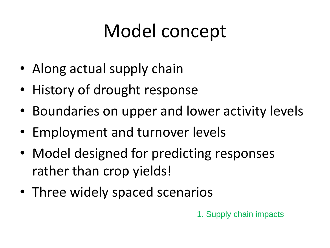# Model concept

- Along actual supply chain
- History of drought response
- Boundaries on upper and lower activity levels
- Employment and turnover levels
- Model designed for predicting responses rather than crop yields!
- Three widely spaced scenarios

1. Supply chain impacts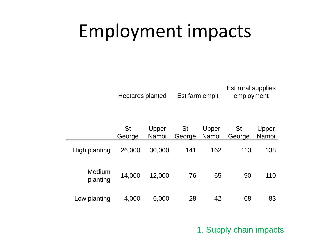### Employment impacts

Hectares planted Est farm emplt

Est rural supplies employment

|                    | <b>St</b><br>George | Upper<br>Namoi | <b>St</b><br>George | Upper<br>Namoi | <b>St</b><br>George | Upper<br>Namoi |
|--------------------|---------------------|----------------|---------------------|----------------|---------------------|----------------|
| High planting      | 26,000              | 30,000         | 141                 | 162            | 113                 | 138            |
| Medium<br>planting | 14,000              | 12,000         | 76                  | 65             | 90                  | 110            |
| Low planting       | 4,000               | 6,000          | 28                  | 42             | 68                  | 83             |

1. Supply chain impacts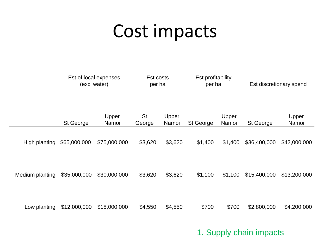#### Cost impacts

|               | Est of local expenses<br>(excl water) |                | Est costs<br>per ha |                | Est profitability<br>per ha |                | Est discretionary spend |                |
|---------------|---------------------------------------|----------------|---------------------|----------------|-----------------------------|----------------|-------------------------|----------------|
|               | St George                             | Upper<br>Namoi | <b>St</b><br>George | Upper<br>Namoi | St George                   | Upper<br>Namoi | <b>St George</b>        | Upper<br>Namoi |
| High planting | \$65,000,000                          | \$75,000,000   | \$3,620             | \$3,620        | \$1,400                     | \$1,400        | \$36,400,000            | \$42,000,000   |

Medium planting \$35,000,000 \$30,000,000 \$3,620 \$3,620 \$1,100 \$1,100 \$15,400,000 \$13,200,000

Low planting \$12,000,000 \$18,000,000 \$4,550 \$4,550 \$700 \$700 \$2,800,000 \$4,200,000

1. Supply chain impacts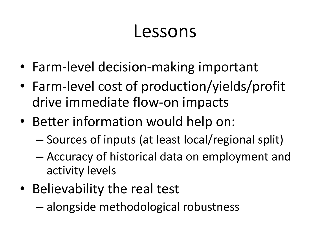#### Lessons

- Farm-level decision-making important
- Farm-level cost of production/yields/profit drive immediate flow-on impacts
- Better information would help on:
	- Sources of inputs (at least local/regional split)
	- Accuracy of historical data on employment and activity levels
- Believability the real test
	- alongside methodological robustness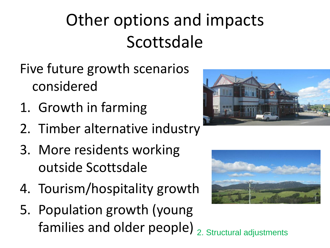# Other options and impacts Scottsdale

- Five future growth scenarios considered
- 1. Growth in farming
- 2. Timber alternative industry
- 3. More residents working outside Scottsdale
- 4. Tourism/hospitality growth
- 5. Population growth (young families and older people)  $_{2.}$  Structural adjustments



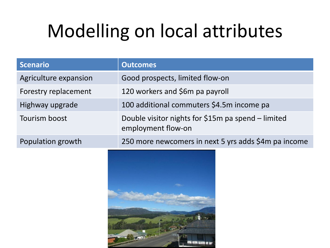# Modelling on local attributes

| <b>Scenario</b>       | <b>Outcomes</b>                                                          |
|-----------------------|--------------------------------------------------------------------------|
| Agriculture expansion | Good prospects, limited flow-on                                          |
| Forestry replacement  | 120 workers and \$6m pa payroll                                          |
| Highway upgrade       | 100 additional commuters \$4.5m income pa                                |
| Tourism boost         | Double visitor nights for \$15m pa spend – limited<br>employment flow-on |
| Population growth     | 250 more newcomers in next 5 yrs adds \$4m pa income                     |